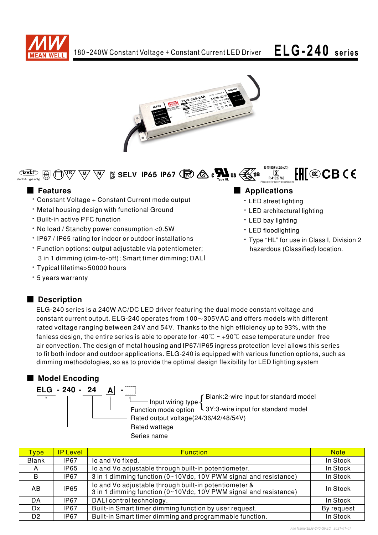



#### **IS 15885(Part 2/Sec13)** FHI®CBCE  $\bigoplus$  $\overline{\mathbf{S}}$  $\mathbb{I}^{\prime\prime}$   $\setminus$   $\mathbb{W}$   $\setminus$   $\mathbb{K}$  SELV IP65 IP67 ( $\mathbb{E}$ )  $\bigotimes$  c  $\bigotimes_{\mathbb{I}_{\text{Vose}}\text{HL}}$  us  $\bigotimes$  18 **R-41027766** (for DA-Type only) (Please refer safety description)

- Constant Voltage + Constant Current mode output
- . Metal housing design with functional Ground
- **· Built-in active PFC function**
- . No load / Standby power consumption <0.5W
- IP67 / IP65 rating for indoor or outdoor installations
- Function options: output adjustable via potentiometer; 3 in 1 dimming (dim-to-off); Smart timer dimming; DALI
- · Typical lifetime>50000 hours
- · 5 years warranty

## Description

ELG-240 series is a 240W AC/DC LED driver featuring the dual mode constant voltage and constant current output. ELG-240 operates from  $100~305$ VAC and offers models with different rated voltage ranging between 24V and 54V. Thanks to the high efficiency up to 93%, with the fanless design, the entire series is able to operate for -40  $\degree$  ~ +90  $\degree$  case temperature under free air convection. The design of metal housing and IP67/IP65 ingress protection level allows this series to fit both indoor and outdoor applications. ELG-240 is equipped with various function options, such as dimming methodologies, so as to provide the optimal design flexibility for LED lighting system

## ■ Model Encoding

| ELG - 240 - 24 |                                                              |
|----------------|--------------------------------------------------------------|
|                | Blank:2-wire input for standard model<br>Input wiring type { |
|                | Function mode option L3Y:3-wire input for standard model     |
|                | Rated output voltage(24/36/42/48/54V)                        |
|                | Rated wattage                                                |
|                | Series name                                                  |

| <b>Type</b>    | <b>IP Level</b>                                                                                                                          | <b>Function</b>                                                  | <b>Note</b> |
|----------------|------------------------------------------------------------------------------------------------------------------------------------------|------------------------------------------------------------------|-------------|
| <b>Blank</b>   | <b>IP67</b>                                                                                                                              | lo and Vo fixed.                                                 | In Stock    |
| A              | <b>IP65</b>                                                                                                                              | lo and Vo adjustable through built-in potentiometer.             | In Stock    |
| B.             | IP67                                                                                                                                     | 3 in 1 dimming function (0~10Vdc, 10V PWM signal and resistance) | In Stock    |
| AB.            | lo and Vo adjustable through built-in potentiometer &<br><b>IP65</b><br>3 in 1 dimming function (0~10Vdc, 10V PWM signal and resistance) |                                                                  | In Stock    |
| DA             | IP67                                                                                                                                     | DALI control technology.                                         | In Stock    |
| Dx.            | IP67                                                                                                                                     | Built-in Smart timer dimming function by user request.           | By request  |
| D <sub>2</sub> | IP67                                                                                                                                     | Built-in Smart timer dimming and programmable function.          | In Stock    |

## ■ Features ■ Pressure and Pressure and Pressure and Pressure and Pressure and Pressure and Pressure and Pressure and Pressure and Pressure and Pressure and Pressure and Pressure and Pressure and Pressure and Pressure and

- LED street lighting
- LED architectural lighting
- LED bay lighting
- LED floodlighting
- Type "HL" for use in Class I, Division 2 hazardous (Classified) location.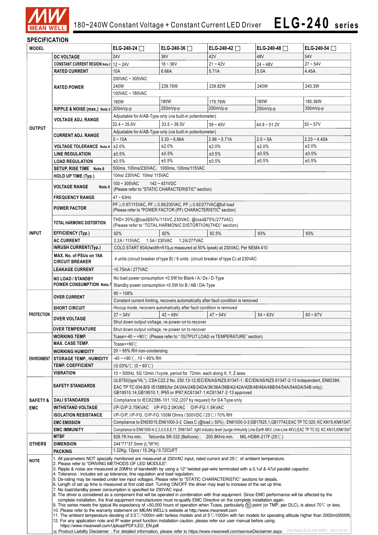

### **SPECIFICATION**

| <b>MODEL</b>                                                                            |                                                                                                                                                                                                                                                                                                                                                                                                                                                                                                                                                                                                                                                                                                                                                                                                                                                                                                                                                                                                                                                                                                                                                                                                                                                                                             | ELG-240-24 $\Box$                                                                                                                                                                          | ELG-240-36 $\Box$                                                                   | ELG-240-42     | ELG-240-48 $\Box$   | ELG-240-54 $\Box$ |  |
|-----------------------------------------------------------------------------------------|---------------------------------------------------------------------------------------------------------------------------------------------------------------------------------------------------------------------------------------------------------------------------------------------------------------------------------------------------------------------------------------------------------------------------------------------------------------------------------------------------------------------------------------------------------------------------------------------------------------------------------------------------------------------------------------------------------------------------------------------------------------------------------------------------------------------------------------------------------------------------------------------------------------------------------------------------------------------------------------------------------------------------------------------------------------------------------------------------------------------------------------------------------------------------------------------------------------------------------------------------------------------------------------------|--------------------------------------------------------------------------------------------------------------------------------------------------------------------------------------------|-------------------------------------------------------------------------------------|----------------|---------------------|-------------------|--|
|                                                                                         | <b>DC VOLTAGE</b>                                                                                                                                                                                                                                                                                                                                                                                                                                                                                                                                                                                                                                                                                                                                                                                                                                                                                                                                                                                                                                                                                                                                                                                                                                                                           | 24V                                                                                                                                                                                        | 36V                                                                                 | 42V            | 48V                 | 54V               |  |
|                                                                                         | <b>CONSTANT CURRENT REGION Note.2   12 ~ 24V</b>                                                                                                                                                                                                                                                                                                                                                                                                                                                                                                                                                                                                                                                                                                                                                                                                                                                                                                                                                                                                                                                                                                                                                                                                                                            |                                                                                                                                                                                            | $18 - 36V$                                                                          | $21 - 42V$     | $24 - 48V$          | $27 - 54V$        |  |
|                                                                                         | <b>RATED CURRENT</b>                                                                                                                                                                                                                                                                                                                                                                                                                                                                                                                                                                                                                                                                                                                                                                                                                                                                                                                                                                                                                                                                                                                                                                                                                                                                        | 10A                                                                                                                                                                                        | 6.66A                                                                               | 5.71A          | 5.0A                | 4.45A             |  |
|                                                                                         |                                                                                                                                                                                                                                                                                                                                                                                                                                                                                                                                                                                                                                                                                                                                                                                                                                                                                                                                                                                                                                                                                                                                                                                                                                                                                             | 200VAC ~ 305VAC                                                                                                                                                                            |                                                                                     |                |                     |                   |  |
|                                                                                         | <b>RATED POWER</b>                                                                                                                                                                                                                                                                                                                                                                                                                                                                                                                                                                                                                                                                                                                                                                                                                                                                                                                                                                                                                                                                                                                                                                                                                                                                          | 240W                                                                                                                                                                                       | 239.76W                                                                             | 239.82W        | 240W                | 240.3W            |  |
|                                                                                         |                                                                                                                                                                                                                                                                                                                                                                                                                                                                                                                                                                                                                                                                                                                                                                                                                                                                                                                                                                                                                                                                                                                                                                                                                                                                                             | 100VAC ~ 180VAC                                                                                                                                                                            |                                                                                     |                |                     |                   |  |
|                                                                                         |                                                                                                                                                                                                                                                                                                                                                                                                                                                                                                                                                                                                                                                                                                                                                                                                                                                                                                                                                                                                                                                                                                                                                                                                                                                                                             | 180W                                                                                                                                                                                       | 180W                                                                                | 179.76W        | 180W                | 180.36W           |  |
|                                                                                         | RIPPLE & NOISE (max.) Note.3 200mVp-p                                                                                                                                                                                                                                                                                                                                                                                                                                                                                                                                                                                                                                                                                                                                                                                                                                                                                                                                                                                                                                                                                                                                                                                                                                                       |                                                                                                                                                                                            | 250mVp-p                                                                            | 250mVp-p       | 250mVp-p            | 350mVp-p          |  |
|                                                                                         |                                                                                                                                                                                                                                                                                                                                                                                                                                                                                                                                                                                                                                                                                                                                                                                                                                                                                                                                                                                                                                                                                                                                                                                                                                                                                             |                                                                                                                                                                                            |                                                                                     |                |                     |                   |  |
|                                                                                         | <b>VOLTAGE ADJ. RANGE</b>                                                                                                                                                                                                                                                                                                                                                                                                                                                                                                                                                                                                                                                                                                                                                                                                                                                                                                                                                                                                                                                                                                                                                                                                                                                                   |                                                                                                                                                                                            | Adjustable for A/AB-Type only (via built-in potentiometer)                          |                |                     |                   |  |
| <b>OUTPUT</b>                                                                           |                                                                                                                                                                                                                                                                                                                                                                                                                                                                                                                                                                                                                                                                                                                                                                                                                                                                                                                                                                                                                                                                                                                                                                                                                                                                                             | $22.4 - 25.6V$                                                                                                                                                                             | $33.5 - 38.5V$                                                                      | $39 - 45V$     | 44.8~51.2V          | $50 - 57V$        |  |
|                                                                                         | <b>CURRENT ADJ. RANGE</b>                                                                                                                                                                                                                                                                                                                                                                                                                                                                                                                                                                                                                                                                                                                                                                                                                                                                                                                                                                                                                                                                                                                                                                                                                                                                   |                                                                                                                                                                                            | Adjustable for A/AB-Type only (via built-in potentiometer)                          |                |                     |                   |  |
|                                                                                         |                                                                                                                                                                                                                                                                                                                                                                                                                                                                                                                                                                                                                                                                                                                                                                                                                                                                                                                                                                                                                                                                                                                                                                                                                                                                                             | $5 - 10A$                                                                                                                                                                                  | $3.33 - 6.66A$                                                                      | $2.86 - 5.71A$ | $2.5 - 5A$          | $2.23 - 4.45A$    |  |
|                                                                                         | <b>VOLTAGE TOLERANCE Note.4</b>                                                                                                                                                                                                                                                                                                                                                                                                                                                                                                                                                                                                                                                                                                                                                                                                                                                                                                                                                                                                                                                                                                                                                                                                                                                             | ±2.0%                                                                                                                                                                                      | ±2.0%                                                                               | ±2.0%          | ±2.0%               | ±2.0%             |  |
|                                                                                         | <b>LINE REGULATION</b>                                                                                                                                                                                                                                                                                                                                                                                                                                                                                                                                                                                                                                                                                                                                                                                                                                                                                                                                                                                                                                                                                                                                                                                                                                                                      | ±0.5%                                                                                                                                                                                      | ±0.5%                                                                               | ±0.5%          | ±0.5%               | ±0.5%             |  |
|                                                                                         | <b>LOAD REGULATION</b>                                                                                                                                                                                                                                                                                                                                                                                                                                                                                                                                                                                                                                                                                                                                                                                                                                                                                                                                                                                                                                                                                                                                                                                                                                                                      | ±0.5%                                                                                                                                                                                      | ±0.5%                                                                               | ±0.5%          | ±0.5%               | ±0.5%             |  |
|                                                                                         | SETUP, RISE TIME Note.6                                                                                                                                                                                                                                                                                                                                                                                                                                                                                                                                                                                                                                                                                                                                                                                                                                                                                                                                                                                                                                                                                                                                                                                                                                                                     | 500ms, 100ms/230VAC, 1000ms, 100ms/115VAC                                                                                                                                                  |                                                                                     |                |                     |                   |  |
|                                                                                         | <b>HOLD UP TIME (Typ.)</b>                                                                                                                                                                                                                                                                                                                                                                                                                                                                                                                                                                                                                                                                                                                                                                                                                                                                                                                                                                                                                                                                                                                                                                                                                                                                  | 10ms/ 230VAC 10ms/ 115VAC                                                                                                                                                                  |                                                                                     |                |                     |                   |  |
|                                                                                         | <b>VOLTAGE RANGE</b><br>Note.5                                                                                                                                                                                                                                                                                                                                                                                                                                                                                                                                                                                                                                                                                                                                                                                                                                                                                                                                                                                                                                                                                                                                                                                                                                                              | $100 - 305$ VAC                                                                                                                                                                            | $142 - 431VDC$                                                                      |                |                     |                   |  |
|                                                                                         |                                                                                                                                                                                                                                                                                                                                                                                                                                                                                                                                                                                                                                                                                                                                                                                                                                                                                                                                                                                                                                                                                                                                                                                                                                                                                             |                                                                                                                                                                                            | (Please refer to "STATIC CHARACTERISTIC" section)                                   |                |                     |                   |  |
|                                                                                         | <b>FREQUENCY RANGE</b>                                                                                                                                                                                                                                                                                                                                                                                                                                                                                                                                                                                                                                                                                                                                                                                                                                                                                                                                                                                                                                                                                                                                                                                                                                                                      | $47 \sim 63$ Hz                                                                                                                                                                            |                                                                                     |                |                     |                   |  |
|                                                                                         | <b>POWER FACTOR</b>                                                                                                                                                                                                                                                                                                                                                                                                                                                                                                                                                                                                                                                                                                                                                                                                                                                                                                                                                                                                                                                                                                                                                                                                                                                                         |                                                                                                                                                                                            | PF ≥ 0.97/115VAC, PF ≥ 0.95/230VAC, PF ≥ 0.92/277VAC@full load                      |                |                     |                   |  |
|                                                                                         |                                                                                                                                                                                                                                                                                                                                                                                                                                                                                                                                                                                                                                                                                                                                                                                                                                                                                                                                                                                                                                                                                                                                                                                                                                                                                             |                                                                                                                                                                                            | (Please refer to "POWER FACTOR (PF) CHARACTERISTIC" section)                        |                |                     |                   |  |
|                                                                                         | <b>TOTAL HARMONIC DISTORTION</b>                                                                                                                                                                                                                                                                                                                                                                                                                                                                                                                                                                                                                                                                                                                                                                                                                                                                                                                                                                                                                                                                                                                                                                                                                                                            |                                                                                                                                                                                            | THD<20%(@load≧50%/115VC,230VAC; @load≧75%/277VAC)                                   |                |                     |                   |  |
|                                                                                         |                                                                                                                                                                                                                                                                                                                                                                                                                                                                                                                                                                                                                                                                                                                                                                                                                                                                                                                                                                                                                                                                                                                                                                                                                                                                                             |                                                                                                                                                                                            | (Please refer to "TOTAL HARMONIC DISTORTION(THD)" section)                          |                |                     |                   |  |
| <b>INPUT</b>                                                                            | <b>EFFICIENCY (Typ.)</b>                                                                                                                                                                                                                                                                                                                                                                                                                                                                                                                                                                                                                                                                                                                                                                                                                                                                                                                                                                                                                                                                                                                                                                                                                                                                    | 92%                                                                                                                                                                                        | 92%                                                                                 | 92.5%          | 93%                 | 93%               |  |
|                                                                                         | <b>AC CURRENT</b>                                                                                                                                                                                                                                                                                                                                                                                                                                                                                                                                                                                                                                                                                                                                                                                                                                                                                                                                                                                                                                                                                                                                                                                                                                                                           | 2.2A/115VAC                                                                                                                                                                                | 1.5A / 230VAC<br>1.2A/277VAC                                                        |                |                     |                   |  |
|                                                                                         | <b>INRUSH CURRENT(Typ.)</b>                                                                                                                                                                                                                                                                                                                                                                                                                                                                                                                                                                                                                                                                                                                                                                                                                                                                                                                                                                                                                                                                                                                                                                                                                                                                 |                                                                                                                                                                                            | COLD START 60A(twidth=510us measured at 50% Ipeak) at 230VAC; Per NEMA 410          |                |                     |                   |  |
|                                                                                         | MAX. No. of PSUs on 16A                                                                                                                                                                                                                                                                                                                                                                                                                                                                                                                                                                                                                                                                                                                                                                                                                                                                                                                                                                                                                                                                                                                                                                                                                                                                     |                                                                                                                                                                                            |                                                                                     |                |                     |                   |  |
|                                                                                         | <b>CIRCUIT BREAKER</b>                                                                                                                                                                                                                                                                                                                                                                                                                                                                                                                                                                                                                                                                                                                                                                                                                                                                                                                                                                                                                                                                                                                                                                                                                                                                      |                                                                                                                                                                                            | 4 units (circuit breaker of type B) / 6 units (circuit breaker of type C) at 230VAC |                |                     |                   |  |
|                                                                                         | <b>LEAKAGE CURRENT</b>                                                                                                                                                                                                                                                                                                                                                                                                                                                                                                                                                                                                                                                                                                                                                                                                                                                                                                                                                                                                                                                                                                                                                                                                                                                                      | <0.75mA/277VAC                                                                                                                                                                             |                                                                                     |                |                     |                   |  |
|                                                                                         | <b>NO LOAD / STANDBY</b>                                                                                                                                                                                                                                                                                                                                                                                                                                                                                                                                                                                                                                                                                                                                                                                                                                                                                                                                                                                                                                                                                                                                                                                                                                                                    |                                                                                                                                                                                            | No load power consumption <0.5W for Blank / A / Dx / D-Type                         |                |                     |                   |  |
| <b>POWER CONSUMPTION Note.7</b><br>Standby power consumption <0.5W for B / AB / DA-Type |                                                                                                                                                                                                                                                                                                                                                                                                                                                                                                                                                                                                                                                                                                                                                                                                                                                                                                                                                                                                                                                                                                                                                                                                                                                                                             |                                                                                                                                                                                            |                                                                                     |                |                     |                   |  |
|                                                                                         |                                                                                                                                                                                                                                                                                                                                                                                                                                                                                                                                                                                                                                                                                                                                                                                                                                                                                                                                                                                                                                                                                                                                                                                                                                                                                             | $95 - 108%$                                                                                                                                                                                |                                                                                     |                |                     |                   |  |
|                                                                                         | <b>OVER CURRENT</b>                                                                                                                                                                                                                                                                                                                                                                                                                                                                                                                                                                                                                                                                                                                                                                                                                                                                                                                                                                                                                                                                                                                                                                                                                                                                         | Constant current limiting, recovers automatically after fault condition is removed                                                                                                         |                                                                                     |                |                     |                   |  |
|                                                                                         | <b>SHORT CIRCUIT</b>                                                                                                                                                                                                                                                                                                                                                                                                                                                                                                                                                                                                                                                                                                                                                                                                                                                                                                                                                                                                                                                                                                                                                                                                                                                                        |                                                                                                                                                                                            | Hiccup mode, recovers automatically after fault condition is removed                |                |                     |                   |  |
| <b>PROTECTION</b>                                                                       |                                                                                                                                                                                                                                                                                                                                                                                                                                                                                                                                                                                                                                                                                                                                                                                                                                                                                                                                                                                                                                                                                                                                                                                                                                                                                             | $27 - 34V$                                                                                                                                                                                 | $42 - 49V$                                                                          | $47 - 54V$     | $54 - 63V$          | $60 - 67V$        |  |
|                                                                                         | <b>OVER VOLTAGE</b>                                                                                                                                                                                                                                                                                                                                                                                                                                                                                                                                                                                                                                                                                                                                                                                                                                                                                                                                                                                                                                                                                                                                                                                                                                                                         |                                                                                                                                                                                            | Shut down output voltage, re-power on to recover                                    |                |                     |                   |  |
| <b>OVER TEMPERATURE</b><br>Shut down output voltage, re-power on to recover             |                                                                                                                                                                                                                                                                                                                                                                                                                                                                                                                                                                                                                                                                                                                                                                                                                                                                                                                                                                                                                                                                                                                                                                                                                                                                                             |                                                                                                                                                                                            |                                                                                     |                |                     |                   |  |
|                                                                                         | <b>WORKING TEMP.</b>                                                                                                                                                                                                                                                                                                                                                                                                                                                                                                                                                                                                                                                                                                                                                                                                                                                                                                                                                                                                                                                                                                                                                                                                                                                                        |                                                                                                                                                                                            | Tcase=-40 ~ +90℃ (Please refer to "OUTPUT LOAD vs TEMPERATURE" section)             |                |                     |                   |  |
|                                                                                         | <b>MAX. CASE TEMP.</b>                                                                                                                                                                                                                                                                                                                                                                                                                                                                                                                                                                                                                                                                                                                                                                                                                                                                                                                                                                                                                                                                                                                                                                                                                                                                      | Tcase=+90℃                                                                                                                                                                                 |                                                                                     |                |                     |                   |  |
|                                                                                         | <b>WORKING HUMIDITY</b>                                                                                                                                                                                                                                                                                                                                                                                                                                                                                                                                                                                                                                                                                                                                                                                                                                                                                                                                                                                                                                                                                                                                                                                                                                                                     | 20~95% RH non-condensing                                                                                                                                                                   |                                                                                     |                |                     |                   |  |
| ENVIRONMENT                                                                             | <b>STORAGE TEMP., HUMIDITY</b>                                                                                                                                                                                                                                                                                                                                                                                                                                                                                                                                                                                                                                                                                                                                                                                                                                                                                                                                                                                                                                                                                                                                                                                                                                                              | $-40 \sim +90^{\circ}$ C, 10 ~ 95% RH                                                                                                                                                      |                                                                                     |                |                     |                   |  |
|                                                                                         | <b>TEMP. COEFFICIENT</b>                                                                                                                                                                                                                                                                                                                                                                                                                                                                                                                                                                                                                                                                                                                                                                                                                                                                                                                                                                                                                                                                                                                                                                                                                                                                    | $\pm 0.03\%$ (0 ~ 60°C)                                                                                                                                                                    |                                                                                     |                |                     |                   |  |
|                                                                                         | VIBRATION                                                                                                                                                                                                                                                                                                                                                                                                                                                                                                                                                                                                                                                                                                                                                                                                                                                                                                                                                                                                                                                                                                                                                                                                                                                                                   |                                                                                                                                                                                            |                                                                                     |                |                     |                   |  |
|                                                                                         |                                                                                                                                                                                                                                                                                                                                                                                                                                                                                                                                                                                                                                                                                                                                                                                                                                                                                                                                                                                                                                                                                                                                                                                                                                                                                             | 10 ~ 500Hz, 5G 12min./1cycle, period for 72min. each along X, Y, Z axes<br>UL8750(type"HL"), CSA C22.2 No. 250.13-12;IEC/EN/AS/NZS 61347-1, IEC/EN/AS/NZS 61347-2-13 independent, EN62384; |                                                                                     |                |                     |                   |  |
|                                                                                         | <b>SAFETY STANDARDS</b>                                                                                                                                                                                                                                                                                                                                                                                                                                                                                                                                                                                                                                                                                                                                                                                                                                                                                                                                                                                                                                                                                                                                                                                                                                                                     | EAC TP TC 004;BIS IS15885(for 24/24A/24B/24DA/36/36A/36B/42/42A/42B/48/48A/48B/54/54A/54ADA/54B only);                                                                                     |                                                                                     |                |                     |                   |  |
|                                                                                         |                                                                                                                                                                                                                                                                                                                                                                                                                                                                                                                                                                                                                                                                                                                                                                                                                                                                                                                                                                                                                                                                                                                                                                                                                                                                                             | GB19510.14, GB19510.1; IP65 or IP67; KC61347-1, KC61347-2-13 approved                                                                                                                      |                                                                                     |                |                     |                   |  |
| <b>SAFETY &amp;</b>                                                                     | <b>DALI STANDARDS</b>                                                                                                                                                                                                                                                                                                                                                                                                                                                                                                                                                                                                                                                                                                                                                                                                                                                                                                                                                                                                                                                                                                                                                                                                                                                                       |                                                                                                                                                                                            | Compliance to IEC62386-101, 102, (207 by request) for DA Type only                  |                |                     |                   |  |
| <b>EMC</b>                                                                              | <b>WITHSTAND VOLTAGE</b>                                                                                                                                                                                                                                                                                                                                                                                                                                                                                                                                                                                                                                                                                                                                                                                                                                                                                                                                                                                                                                                                                                                                                                                                                                                                    |                                                                                                                                                                                            | I/P-O/P:3.75KVAC I/P-FG:2.0KVAC O/P-FG:1.5KVAC                                      |                |                     |                   |  |
|                                                                                         | <b>ISOLATION RESISTANCE</b>                                                                                                                                                                                                                                                                                                                                                                                                                                                                                                                                                                                                                                                                                                                                                                                                                                                                                                                                                                                                                                                                                                                                                                                                                                                                 |                                                                                                                                                                                            | I/P-O/P, I/P-FG, O/P-FG:100M Ohms / 500VDC / 25°C / 70% RH                          |                |                     |                   |  |
|                                                                                         | <b>EMC EMISSION</b>                                                                                                                                                                                                                                                                                                                                                                                                                                                                                                                                                                                                                                                                                                                                                                                                                                                                                                                                                                                                                                                                                                                                                                                                                                                                         | Compliance to EN55015,EN61000-3-2 Class C (@load≥50%); EN61000-3-3;GB17625.1,GB17743;EAC TP TC 020; KC KN15,KN61547                                                                        |                                                                                     |                |                     |                   |  |
|                                                                                         | <b>EMC IMMUNITY</b>                                                                                                                                                                                                                                                                                                                                                                                                                                                                                                                                                                                                                                                                                                                                                                                                                                                                                                                                                                                                                                                                                                                                                                                                                                                                         | Compliance to EN61000-4-2,3,4,5,6,8,11; EN61547, light industry level (surge immunity Line-Earth 6KV, Line-Line 4KV);EAC TP TC 02; KC KN15,KN61547                                         |                                                                                     |                |                     |                   |  |
|                                                                                         | <b>MTBF</b>                                                                                                                                                                                                                                                                                                                                                                                                                                                                                                                                                                                                                                                                                                                                                                                                                                                                                                                                                                                                                                                                                                                                                                                                                                                                                 | 826.7K hrs min.                                                                                                                                                                            | Telcordia SR-332 (Bellcore);                                                        | 200.8Khrs min. | MIL-HDBK-217F (25℃) |                   |  |
| OTHERS                                                                                  | <b>DIMENSION</b>                                                                                                                                                                                                                                                                                                                                                                                                                                                                                                                                                                                                                                                                                                                                                                                                                                                                                                                                                                                                                                                                                                                                                                                                                                                                            | 244*71*37.5mm (L*W*H)                                                                                                                                                                      |                                                                                     |                |                     |                   |  |
|                                                                                         | <b>PACKING</b>                                                                                                                                                                                                                                                                                                                                                                                                                                                                                                                                                                                                                                                                                                                                                                                                                                                                                                                                                                                                                                                                                                                                                                                                                                                                              | 1.22Kg; 12pcs / 15.2Kg / 0.72CUFT                                                                                                                                                          |                                                                                     |                |                     |                   |  |
| <b>NOTE</b>                                                                             | 1. All parameters NOT specially mentioned are measured at 230VAC input, rated current and 25°C of ambient temperature.<br>2. Please refer to "DRIVING METHODS OF LED MODULE".<br>3. Ripple & noise are measured at 20MHz of bandwidth by using a 12" twisted pair-wire terminated with a 0.1uf & 47uf parallel capacitor.<br>4. Tolerance: includes set up tolerance, line regulation and load regulation.<br>5. De-rating may be needed under low input voltages. Please refer to "STATIC CHARACTERISTIC" sections for details.<br>6. Length of set up time is measured at first cold start. Turning ON/OFF the driver may lead to increase of the set up time.<br>7. No load/standby power consumption is specified for 230VAC input.<br>8. The driver is considered as a component that will be operated in combination with final equipment. Since EMC performance will be affected by the<br>complete installation, the final equipment manufacturers must re-qualify EMC Directive on the complete installation again.<br>9. This series meets the typical life expectancy of >50,000 hours of operation when Tcase, particularly (tc) point (or TMP, per DLC), is about 70℃ or less.<br>10. Please refer to the warranty statement on MEAN WELL's website at http://www.meanwell.com |                                                                                                                                                                                            |                                                                                     |                |                     |                   |  |
|                                                                                         | 11. The ambient temperature derating of 3.5°C/1000m with fanless models and of 5°C/1000m with fan models for operating altitude higher than 2000m(6500ft).<br>12. For any application note and IP water proof function installation caution, please refer our user manual before using.<br>https://www.meanwell.com/Upload/PDF/LED_EN.pdf                                                                                                                                                                                                                                                                                                                                                                                                                                                                                                                                                                                                                                                                                                                                                                                                                                                                                                                                                   |                                                                                                                                                                                            |                                                                                     |                |                     |                   |  |

※ Product Liability Disclaimer:For detailed information, please refer to https://www.meanwell.com/serviceDisclaimer.aspx *File Name:ELG-240-SPEC 2021-01-07*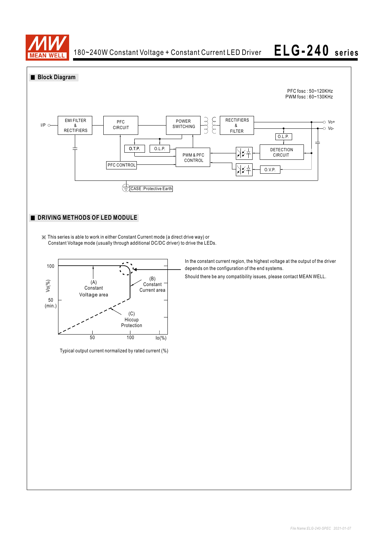

# **ELG-240 se rie <sup>s</sup>**



※ This series is able to work in either Constant Current mode (a direct drive way) or Constant Voltage mode (usually through additional DC/DC driver) to drive the LEDs.



Typical output current normalized by rated current (%)

In the constant current region, the highest voltage at the output of the driver depends on the configuration of the end systems.

Should there be any compatibility issues, please contact MEAN WELL.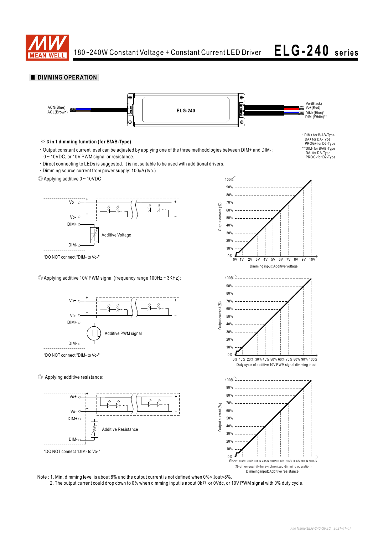

180~240W Constant Voltage + Constant Current LED Driver

# **ELG-240 se rie <sup>s</sup>**

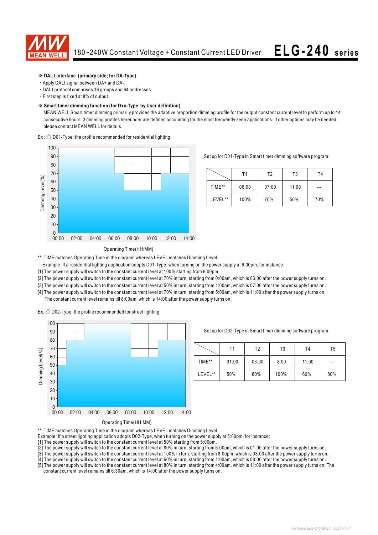

### ※ **DALI Interface (primary side; for DA-Type)**

- ‧Apply DALI signal between DA+ and DA-.
- ‧DALI protocol comprises 16 groups and 64 addresses.
- ‧First step is fixed at 8% of output.

#### ※ **Smart timer dimming function (for Dxx-Type by User definition)**

 MEAN WELL Smart timer dimming primarily provides the adaptive proportion dimming profile for the output constant current level to perform up to 14 consecutive hours. 3 dimming profiles hereunder are defined accounting for the most frequently seen applications. If other options may be needed, please contact MEAN WELL for details.

Ex : ◎ D01-Type: the profile recommended for residential lighting



Set up for D01-Type in Smart timer dimming software program:

|         | Τ1    | T2    | T3    | Τ4  |
|---------|-------|-------|-------|-----|
| TIME**  | 06:00 | 07:00 | 11:00 | --- |
| LEVEL** | 100%  | 70%   | 50%   | 70% |

### Operating Time(HH:MM)

\*\*: TIME matches Operating Time in the diagram whereas LEVEL matches Dimming Level.

- Example: If a residential lighting application adopts D01-Type, when turning on the power supply at 6:00pm, for instance:
- [1] The power supply will switch to the constant current level at 100% starting from 6:00pm.
- [2] The power supply will switch to the constant current level at 70% in turn, starting from 0:00am, which is 06:00 after the power supply turns on.
- [3] The power supply will switch to the constant current level at 50% in turn, starting from 1:00am, which is 07:00 after the power supply turns on.
- [4] The power supply will switch to the constant current level at 70% in turn, starting from 5:00am, which is 11:00 after the power supply turns on. The constant current level remains till 8:00am, which is 14:00 after the power supply turns on.

Ex: ◎ D02-Type: the profile recommended for street lighting



Set up for D02-Type in Smart timer dimming software program:

|         | Τ1    | Т2    | T3   | T4    | T5  |
|---------|-------|-------|------|-------|-----|
| TIME**  | 01:00 | 03:00 | 8:00 | 11:00 | --- |
| LEVEL** | 50%   | 80%   | 100% | 60%   | 80% |



\*\*: TIME matches Operating Time in the diagram whereas LEVEL matches Dimming Level.

- Example: If a street lighting application adopts D02-Type, when turning on the power supply at 5:00pm, for instance:
- [1] The power supply will switch to the constant current level at 50% starting from 5:00pm.
- [2] The power supply will switch to the constant current level at 80% in turn, starting from 6:00pm, which is 01:00 after the power supply turns on.
- [3] The power supply will switch to the constant current level at 100% in turn, starting from 8:00pm, which is 03:00 after the power supply turns on.
- [4] The power supply will switch to the constant current level at 60% in turn, starting from 1:00am, which is 08:00 after the power supply turns on.
- [5] The power supply will switch to the constant current level at 80% in turn, starting from 4:00am, which is 11:00 after the power supply turns on. The constant current level remains till 6:30am, which is 14:00 after the power supply turns on.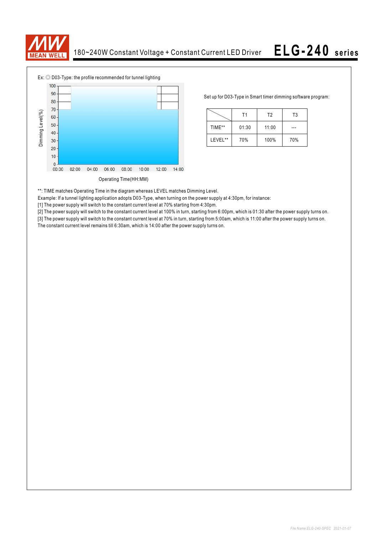



Set up for D03-Type in Smart timer dimming software program:

|         | Τ1    | T <sub>2</sub> | T3  |
|---------|-------|----------------|-----|
| TIME**  | 01:30 | 11:00          |     |
| LEVEL** | 70%   | 100%           | 70% |

\*\*: TIME matches Operating Time in the diagram whereas LEVEL matches Dimming Level.

Example: If a tunnel lighting application adopts D03-Type, when turning on the power supply at 4:30pm, for instance:

[1] The power supply will switch to the constant current level at 70% starting from 4:30pm.

[2] The power supply will switch to the constant current level at 100% in turn, starting from 6:00pm, which is 01:30 after the power supply turns on.

[3] The power supply will switch to the constant current level at 70% in turn, starting from 5:00am, which is 11:00 after the power supply turns on. The constant current level remains till 6:30am, which is 14:00 after the power supply turns on.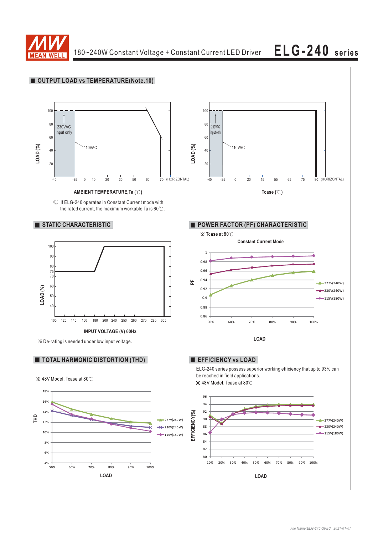

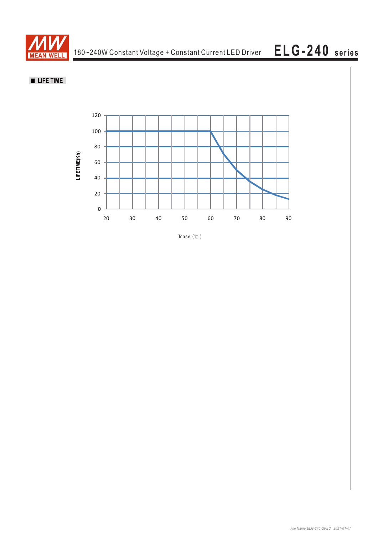

## **LIFE TIME**



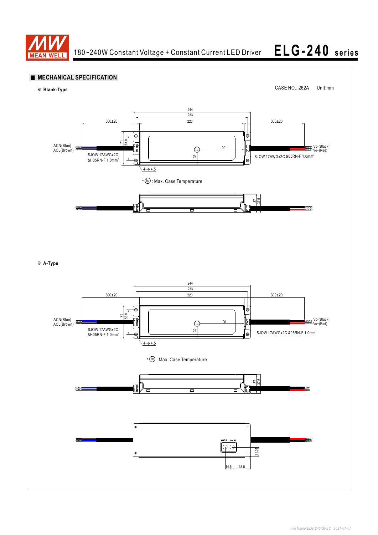

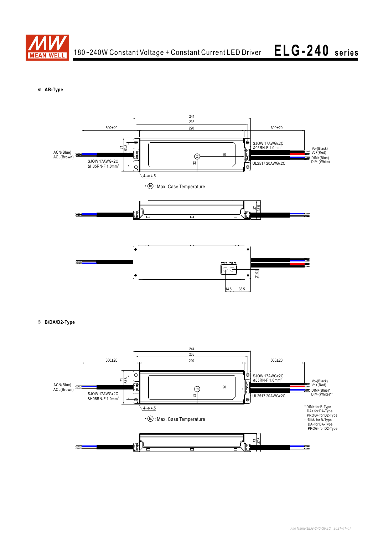

180~240W Constant Voltage + Constant Current LED Driver

# **ELG-240 se rie <sup>s</sup>**

※ **AB-Type**